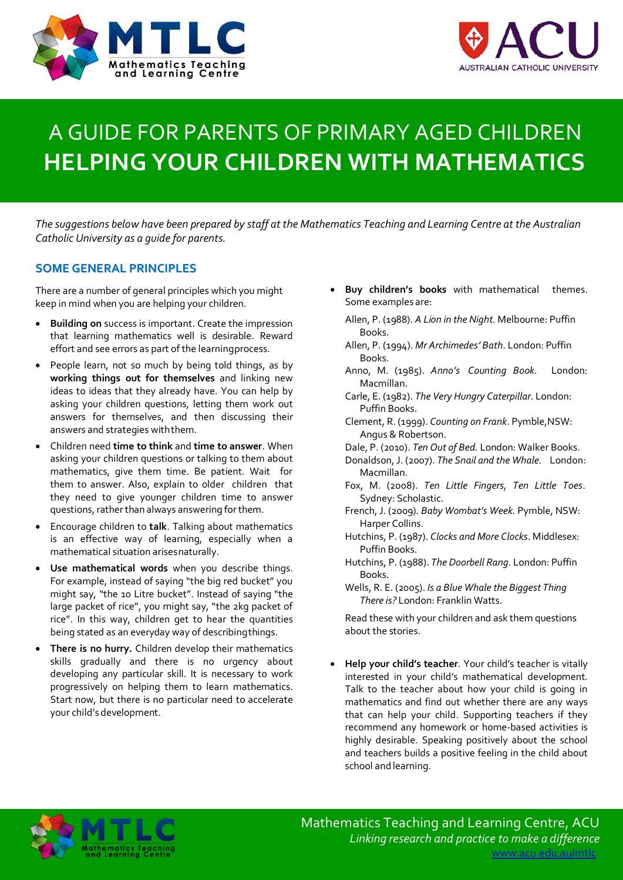



# A GUIDE FOR PARENTS OF PRIMARY AGED CHILDREN **HELPING YOUR CHILDREN WITH MATHEMATICS**

*The suggestions below have been prepared by staff at the Mathematics Teaching and Learning Centre at the Australian Catholic University as a guide for parents.*

# **SOME GENERAL PRINCIPLES**

There are a number of general principles which you might keep in mind when you are helping your children.

- **Building on** success is important. Create the impression that learning mathematics well is desirable. Reward effort and see errors as part of the learningprocess.
- People learn, not so much by being told things, as by **working things out for themselves** and linking new ideas to ideas that they already have. You can help by asking your children questions, letting them work out answers for themselves, and then discussing their answers and strategies withthem.
- Children need **time to think** and **time to answer**. When asking your children questions or talking to them about mathematics, give them time. Be patient. Wait for them to answer. Also, explain to older children that they need to give younger children time to answer guestions, rather than always answering for them.
- Encourage children to **talk**. Talking about mathematics is an effective way of learning, especially when a mathematical situation arisesnaturally.
- **Use mathematical words** when you describe things. For example, instead of saying "the big red bucket" you might say, "the 10 Litre bucket". Instead of saying "the large packet of rice", you might say, "the 2kg packet of rice". In this way, children get to hear the quantities being stated as an everyday way of describingthings.
- **There is no hurry.** Children develop their mathematics skills gradually and there is no urgency about developing any particular skill. It is necessary to work progressively on helping them to learn mathematics. Start now, but there is no particular need to accelerate your child's development.
- **Buy children's books** with mathematical themes. Some examples are:
	- Allen, P. (1988). *A Lion in the Night.* Melbourne: Puffin Books.
	- Allen, P. (1994). *Mr Archimedes' Bath*. London: Puffin Books.
	- Anno, M. (1985). *Anno's Counting Book*. London: Macmillan.
	- Carle, E. (1982). *The Very Hungry Caterpillar*. London: Puffin Books.
	- Clement, R. (1999). *Counting on Frank*. Pymble,NSW: Angus & Robertson.
	- Dale, P. (2010). *Ten Out of Bed.* London: Walker Books.
	- Donaldson, J. (2007). *The Snail and the Whale.* London: Macmillan.
	- Fox, M. (2008). *Ten Little Fingers, Ten Little Toes*. Sydney: Scholastic.
	- French, J. (2009). *Baby Wombat's Week.* Pymble, NSW: Harper Collins.
	- Hutchins, P. (1987). *Clocks and More Clocks*. Middlesex: Puffin Books.
	- Hutchins, P. (1988). *The Doorbell Rang*. London: Puffin Books.
	- Wells, R. E. (2005). *Is a Blue Whale the Biggest Thing There is?* London: Franklin Watts.

Read these with your children and ask them questions about the stories.

• **Help your child's teacher**. Your child's teacher is vitally interested in your child's mathematical development. Talk to the teacher about how your child is going in mathematics and find out whether there are any ways that can help your child. Supporting teachers if they recommend any homework or home-based activities is highly desirable. Speaking positively about the school and teachers builds a positive feeling in the child about school and learning.



Mathematics Teaching and Learning Centre, ACU *Linking research and practice to make a difference* [www.acu.edu.au/mtlc](http://www.acu.edu.au/mtlc)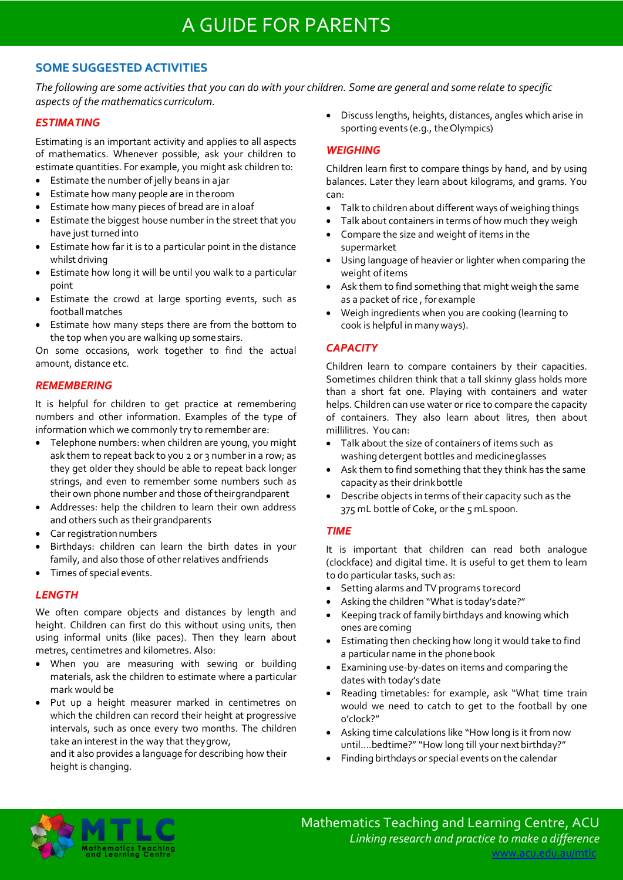# **SOME SUGGESTED ACTIVITIES**

*The following are some activities that you can do with your children. Some are general and some relate to specific aspects of the mathematics curriculum.*

#### *ESTIMATING*

Estimating is an important activity and applies to all aspects of mathematics. Whenever possible, ask your children to estimate quantities. For example, you might ask children to:

- Estimate the number of jelly beans in ajar
- Estimate how many people are in theroom
- Estimate how many pieces of bread are in aloaf
- Estimate the biggest house number in the street that you have just turned into
- Estimate how far it is to a particular point in the distance whilst driving
- Estimate how long it will be until you walk to a particular point
- Estimate the crowd at large sporting events, such as footballmatches
- Estimate how many steps there are from the bottom to the top when you are walking up somestairs.

On some occasions, work together to find the actual amount, distance etc.

# *REMEMBERING*

It is helpful for children to get practice at remembering numbers and other information. Examples of the type of information which we commonly try to remember are:

- Telephone numbers: when children are young, you might ask them to repeat back to you 2 or 3 number in a row; as they get older they should be able to repeat back longer strings, and even to remember some numbers such as their own phone number and those of theirgrandparent
- Addresses: help the children to learn their own address and others such as theirgrandparents
- Car registration numbers
- Birthdays: children can learn the birth dates in your family, and also those of other relatives andfriends
- Times of special events.

# *LENGTH*

We often compare objects and distances by length and height. Children can first do this without using units, then using informal units (like paces). Then they learn about metres, centimetres and kilometres. Also:

- When you are measuring with sewing or building materials, ask the children to estimate where a particular mark would be
- Put up a height measurer marked in centimetres on which the children can record their height at progressive intervals, such as once every two months. The children take an interest in the way that theygrow,

and it also provides a language for describing how their height is changing.

• Discuss lengths, heights, distances, angles which arise in sporting events (e.g., the Olympics)

# *WEIGHING*

Children learn first to compare things by hand, and by using balances. Later they learn about kilograms, and grams. You can:

- Talk to children about different ways of weighing things
- Talk about containers in terms of how much they weigh
- Compare the size and weight of items in the supermarket
- Using language of heavier or lighter when comparing the weight of items
- Ask them to find something that might weigh the same as a packet of rice , forexample
- Weigh ingredients when you are cooking (learning to cook is helpful in manyways).

# *CAPACITY*

Children learn to compare containers by their capacities. Sometimes children think that a tall skinny glass holds more than a short fat one. Playing with containers and water helps. Children can use water or rice to compare the capacity of containers. They also learn about litres, then about millilitres. You can:

- Talk about the size of containers of items such as washing detergent bottles and medicineglasses
- Ask them to find something that they think has the same capacity as their drinkbottle
- Describe objects in terms of their capacity such as the 375 mL bottle of Coke, or the 5 mLspoon.

#### *TIME*

It is important that children can read both analogue (clockface) and digital time. It is useful to get them to learn to do particular tasks, such as:

- Setting alarms and TV programs torecord
- Asking the children "What is today'sdate?"
- Keeping track of family birthdays and knowing which ones are coming
- Estimating then checking how long it would take to find a particular name in the phonebook
- Examining use-by-dates on items and comparing the dates with today's date
- Reading timetables: for example, ask "What time train would we need to catch to get to the football by one o'clock?"
- Asking time calculations like "How long is it from now until....bedtime?" "How long till your next birthday?"
- Finding birthdays or special events on the calendar

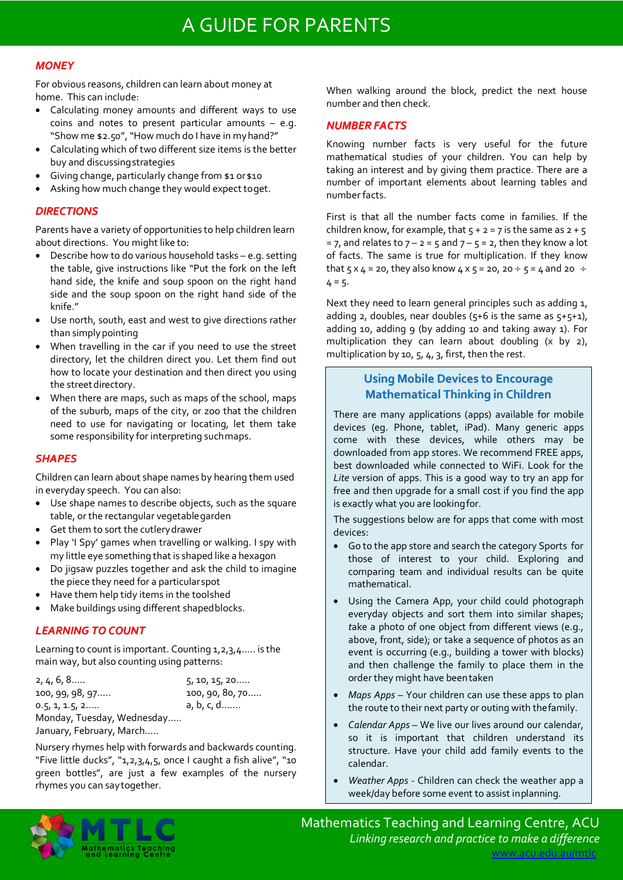# A GUIDE FOR PARENTS

### *MONEY*

For obvious reasons, children can learn about money at home. This can include:

- Calculating money amounts and different ways to use coins and notes to present particular amounts – e.g. "Show me \$2.50", "How much do I have in myhand?"
- Calculating which of two different size items is the better buy and discussingstrategies
- Giving change, particularly change from \$1 or \$10
- Asking how much change they would expect toget.

### *DIRECTIONS*

Parents have a variety of opportunities to help children learn about directions. You might like to:

- Describe how to do various household tasks e.g. setting the table, give instructions like "Put the fork on the left hand side, the knife and soup spoon on the right hand side and the soup spoon on the right hand side of the knife<sup>"</sup>
- Use north, south, east and west to give directions rather than simply pointing
- When travelling in the car if you need to use the street directory, let the children direct you. Let them find out how to locate your destination and then direct you using the street directory.
- When there are maps, such as maps of the school, maps of the suburb, maps of the city, or zoo that the children need to use for navigating or locating, let them take some responsibility for interpreting suchmaps.

#### *SHAPES*

Children can learn about shape names by hearing them used in everyday speech. You can also:

- Use shape names to describe objects, such as the square table, or the rectangular vegetablegarden
- Get them to sort the cutlery drawer
- Play 'I Spy' games when travelling or walking. I spy with my little eye something that is shaped like a hexagon
- Do jigsaw puzzles together and ask the child to imagine the piece they need for a particularspot
- Have them help tidy items in the toolshed
- Make buildings using different shapedblocks.

# *LEARNING TO COUNT*

Learning to count is important. Counting 1,2,3,4….. is the main way, but also counting using patterns:

| 2, 4, 6, 8                 | 5, 10, 15, 20   |
|----------------------------|-----------------|
| 100, 99, 98, 97            | 100, 90, 80, 70 |
| 0.5, 1, 1.5, 2             | a, b, c, d      |
| Monday, Tuesday, Wednesday |                 |
| January, February, March   |                 |
|                            |                 |

Nursery rhymes help with forwards and backwards counting. "Five little ducks", "1,2,3,4,5, once I caught a fish alive", "10 green bottles", are just a few examples of the nursery rhymes you can saytogether.

When walking around the block, predict the next house number and then check.

# *NUMBERFACTS*

Knowing number facts is very useful for the future mathematical studies of your children. You can help by taking an interest and by giving them practice. There are a number of important elements about learning tables and number facts.

First is that all the number facts come in families. If the children know, for example, that  $5 + 2 = 7$  is the same as  $2 + 5$ = 7, and relates to  $7 - 2 = 5$  and  $7 - 5 = 2$ , then they know a lot of facts. The same is true for multiplication. If they know that  $5 \times 4 = 20$ , they also know  $4 \times 5 = 20$ ,  $20 \div 5 = 4$  and  $20 \div 5 = 12$  $4 = 5$ .

Next they need to learn general principles such as adding 1, adding 2, doubles, near doubles  $(5+6)$  is the same as  $5+5+1$ , adding 10, adding 9 (by adding 10 and taking away 1). For multiplication they can learn about doubling  $(x \text{ by } z)$ , multiplication by 10, 5, 4, 3, first, then the rest.

# **Using Mobile Devices to Encourage Mathematical Thinking in Children**

There are many applications (apps) available for mobile devices (eg. Phone, tablet, iPad). Many generic apps come with these devices, while others may be downloaded from app stores. We recommend FREE apps, best downloaded while connected to WiFi. Look for the *Lite* version of apps. This is a good way to try an app for free and then upgrade for a small cost if you find the app is exactly what you are lookingfor.

The suggestions below are for apps that come with most devices:

- Go to the app store and search the category Sports for those of interest to your child. Exploring and comparing team and individual results can be quite mathematical.
- Using the Camera App, your child could photograph everyday objects and sort them into similar shapes; *t*ake a photo of one object from different views (e.g., above, front, side); or take a sequence of photos as an event is occurring (e.g., building a tower with blocks) and then challenge the family to place them in the order they might have beentaken
- *Maps Apps* Your children can use these apps to plan the route to their next party or outing with thefamily.
- *Calendar Apps*  We live our lives around our calendar, so it is important that children understand its structure. Have your child add family events to the calendar.
- *Weather Apps*  Children can check the weather app a week/day before some event to assist inplanning.



Mathematics Teaching and Learning Centre, ACU *Linking research and practice to make a difference*